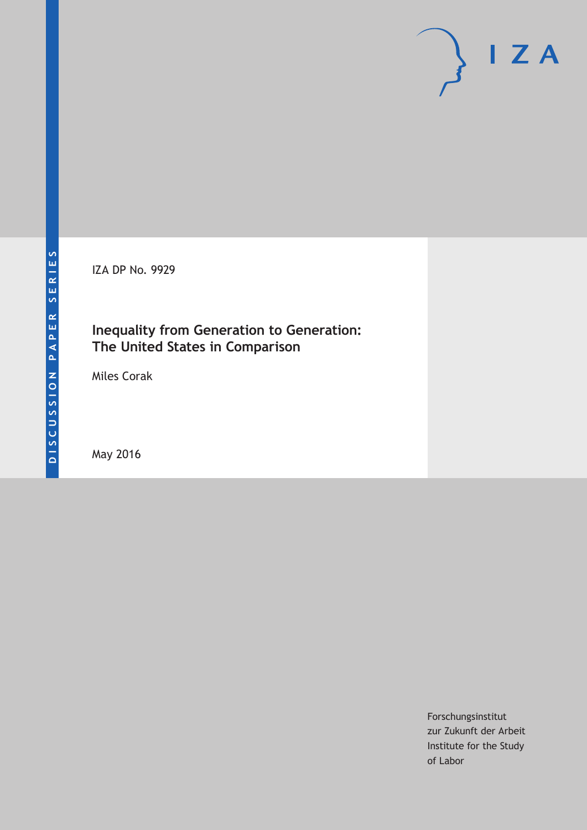IZA DP No. 9929

### **Inequality from Generation to Generation: The United States in Comparison**

Miles Corak

May 2016

Forschungsinstitut zur Zukunft der Arbeit Institute for the Study of Labor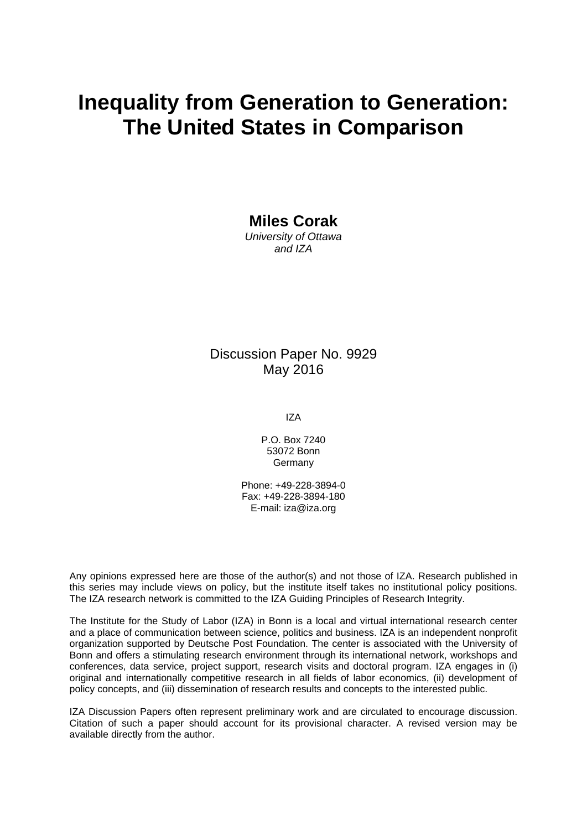# **Inequality from Generation to Generation: The United States in Comparison**

**Miles Corak**  *University of Ottawa and IZA* 

### Discussion Paper No. 9929 May 2016

IZA

P.O. Box 7240 53072 Bonn **Germany** 

Phone: +49-228-3894-0 Fax: +49-228-3894-180 E-mail: iza@iza.org

Any opinions expressed here are those of the author(s) and not those of IZA. Research published in this series may include views on policy, but the institute itself takes no institutional policy positions. The IZA research network is committed to the IZA Guiding Principles of Research Integrity.

The Institute for the Study of Labor (IZA) in Bonn is a local and virtual international research center and a place of communication between science, politics and business. IZA is an independent nonprofit organization supported by Deutsche Post Foundation. The center is associated with the University of Bonn and offers a stimulating research environment through its international network, workshops and conferences, data service, project support, research visits and doctoral program. IZA engages in (i) original and internationally competitive research in all fields of labor economics, (ii) development of policy concepts, and (iii) dissemination of research results and concepts to the interested public.

IZA Discussion Papers often represent preliminary work and are circulated to encourage discussion. Citation of such a paper should account for its provisional character. A revised version may be available directly from the author.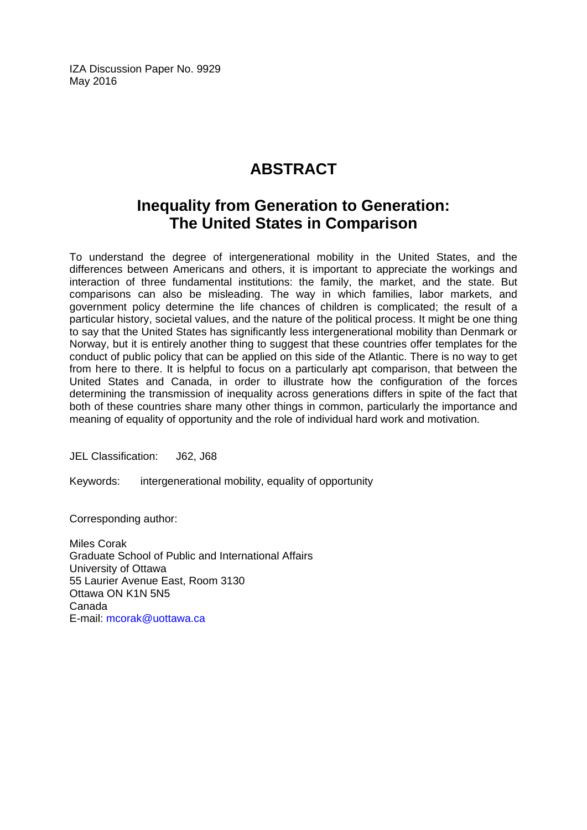IZA Discussion Paper No. 9929 May 2016

## **ABSTRACT**

### **Inequality from Generation to Generation: The United States in Comparison**

To understand the degree of intergenerational mobility in the United States, and the differences between Americans and others, it is important to appreciate the workings and interaction of three fundamental institutions: the family, the market, and the state. But comparisons can also be misleading. The way in which families, labor markets, and government policy determine the life chances of children is complicated; the result of a particular history, societal values, and the nature of the political process. It might be one thing to say that the United States has significantly less intergenerational mobility than Denmark or Norway, but it is entirely another thing to suggest that these countries offer templates for the conduct of public policy that can be applied on this side of the Atlantic. There is no way to get from here to there. It is helpful to focus on a particularly apt comparison, that between the United States and Canada, in order to illustrate how the configuration of the forces determining the transmission of inequality across generations differs in spite of the fact that both of these countries share many other things in common, particularly the importance and meaning of equality of opportunity and the role of individual hard work and motivation.

JEL Classification: J62, J68

Keywords: intergenerational mobility, equality of opportunity

Corresponding author:

Miles Corak Graduate School of Public and International Affairs University of Ottawa 55 Laurier Avenue East, Room 3130 Ottawa ON K1N 5N5 Canada E-mail: mcorak@uottawa.ca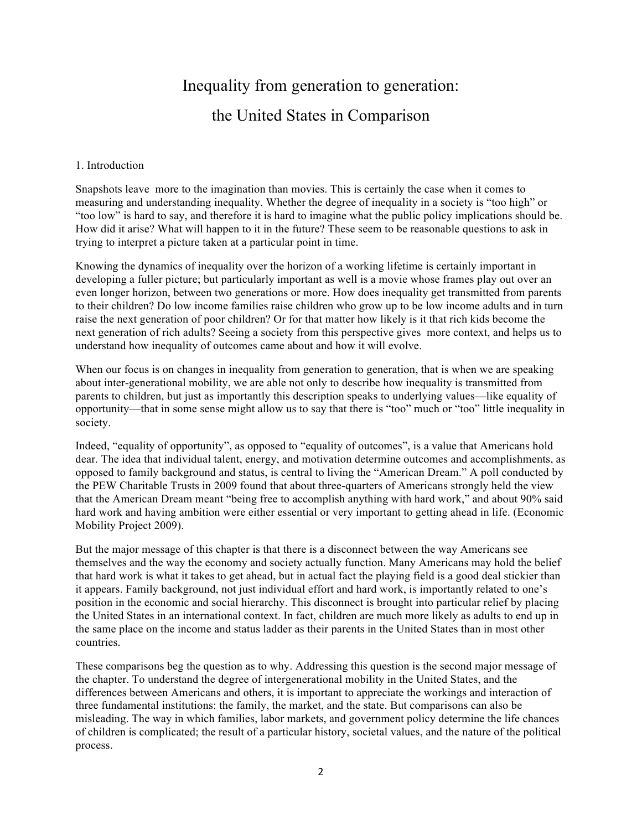## Inequality from generation to generation: the United States in Comparison

#### 1. Introduction

Snapshots leave more to the imagination than movies. This is certainly the case when it comes to measuring and understanding inequality. Whether the degree of inequality in a society is "too high" or "too low" is hard to say, and therefore it is hard to imagine what the public policy implications should be. How did it arise? What will happen to it in the future? These seem to be reasonable questions to ask in trying to interpret a picture taken at a particular point in time.

Knowing the dynamics of inequality over the horizon of a working lifetime is certainly important in developing a fuller picture; but particularly important as well is a movie whose frames play out over an even longer horizon, between two generations or more. How does inequality get transmitted from parents to their children? Do low income families raise children who grow up to be low income adults and in turn raise the next generation of poor children? Or for that matter how likely is it that rich kids become the next generation of rich adults? Seeing a society from this perspective gives more context, and helps us to understand how inequality of outcomes came about and how it will evolve.

When our focus is on changes in inequality from generation to generation, that is when we are speaking about inter-generational mobility, we are able not only to describe how inequality is transmitted from parents to children, but just as importantly this description speaks to underlying values—like equality of opportunity—that in some sense might allow us to say that there is "too" much or "too" little inequality in society.

Indeed, "equality of opportunity", as opposed to "equality of outcomes", is a value that Americans hold dear. The idea that individual talent, energy, and motivation determine outcomes and accomplishments, as opposed to family background and status, is central to living the "American Dream." A poll conducted by the PEW Charitable Trusts in 2009 found that about three-quarters of Americans strongly held the view that the American Dream meant "being free to accomplish anything with hard work," and about 90% said hard work and having ambition were either essential or very important to getting ahead in life. (Economic Mobility Project 2009).

But the major message of this chapter is that there is a disconnect between the way Americans see themselves and the way the economy and society actually function. Many Americans may hold the belief that hard work is what it takes to get ahead, but in actual fact the playing field is a good deal stickier than it appears. Family background, not just individual effort and hard work, is importantly related to one's position in the economic and social hierarchy. This disconnect is brought into particular relief by placing the United States in an international context. In fact, children are much more likely as adults to end up in the same place on the income and status ladder as their parents in the United States than in most other countries.

These comparisons beg the question as to why. Addressing this question is the second major message of the chapter. To understand the degree of intergenerational mobility in the United States, and the differences between Americans and others, it is important to appreciate the workings and interaction of three fundamental institutions: the family, the market, and the state. But comparisons can also be misleading. The way in which families, labor markets, and government policy determine the life chances of children is complicated; the result of a particular history, societal values, and the nature of the political process.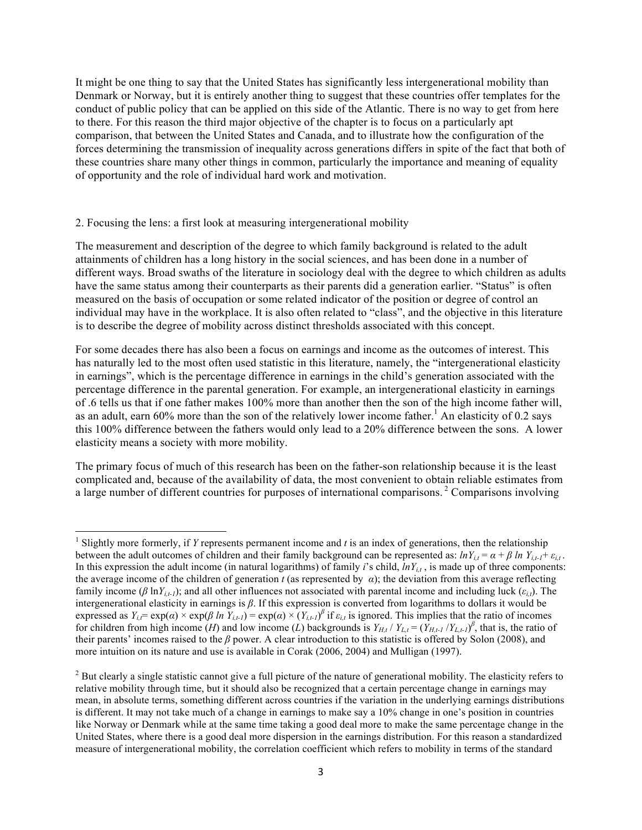It might be one thing to say that the United States has significantly less intergenerational mobility than Denmark or Norway, but it is entirely another thing to suggest that these countries offer templates for the conduct of public policy that can be applied on this side of the Atlantic. There is no way to get from here to there. For this reason the third major objective of the chapter is to focus on a particularly apt comparison, that between the United States and Canada, and to illustrate how the configuration of the forces determining the transmission of inequality across generations differs in spite of the fact that both of these countries share many other things in common, particularly the importance and meaning of equality of opportunity and the role of individual hard work and motivation.

#### 2. Focusing the lens: a first look at measuring intergenerational mobility

<u> 1989 - Johann Stein, markin film yn y breninn y breninn y breninn y breninn y breninn y breninn y breninn y b</u>

The measurement and description of the degree to which family background is related to the adult attainments of children has a long history in the social sciences, and has been done in a number of different ways. Broad swaths of the literature in sociology deal with the degree to which children as adults have the same status among their counterparts as their parents did a generation earlier. "Status" is often measured on the basis of occupation or some related indicator of the position or degree of control an individual may have in the workplace. It is also often related to "class", and the objective in this literature is to describe the degree of mobility across distinct thresholds associated with this concept.

For some decades there has also been a focus on earnings and income as the outcomes of interest. This has naturally led to the most often used statistic in this literature, namely, the "intergenerational elasticity in earnings", which is the percentage difference in earnings in the child's generation associated with the percentage difference in the parental generation. For example, an intergenerational elasticity in earnings of .6 tells us that if one father makes 100% more than another then the son of the high income father will, as an adult, earn 60% more than the son of the relatively lower income father.<sup>1</sup> An elasticity of 0.2 says this 100% difference between the fathers would only lead to a 20% difference between the sons. A lower elasticity means a society with more mobility.

The primary focus of much of this research has been on the father-son relationship because it is the least complicated and, because of the availability of data, the most convenient to obtain reliable estimates from a large number of different countries for purposes of international comparisons.<sup>2</sup> Comparisons involving

<sup>&</sup>lt;sup>1</sup> Slightly more formerly, if *Y* represents permanent income and  $t$  is an index of generations, then the relationship between the adult outcomes of children and their family background can be represented as:  $lnY_{i,t} = \alpha + \beta ln Y_{i,t} + \varepsilon_{i,t}$ . In this expression the adult income (in natural logarithms) of family *i*'s child, *lnYi,t* , is made up of three components: the average income of the children of generation *t* (as represented by *α*); the deviation from this average reflecting family income (*β* ln*Yi,t-1*); and all other influences not associated with parental income and including luck (*εi,t*). The intergenerational elasticity in earnings is *β*. If this expression is converted from logarithms to dollars it would be expressed as  $Y_{i,\vec{i}} = \exp(\alpha) \times \exp(\beta \ln Y_{i,t-1}) = \exp(\alpha) \times (Y_{i,t-1})^{\beta}$  if  $\varepsilon_{i,t}$  is ignored. This implies that the ratio of incomes for children from high income (*H*) and low income (*L*) backgrounds is  $Y_{H,t} / Y_{L,t} = (Y_{H,t-1} / Y_{L,t-1})^{\beta}$ , that is, the ratio of their parents' incomes raised to the *β* power. A clear introduction to this statistic is offered by Solon (2008), and more intuition on its nature and use is available in Corak (2006, 2004) and Mulligan (1997).

<sup>&</sup>lt;sup>2</sup> But clearly a single statistic cannot give a full picture of the nature of generational mobility. The elasticity refers to relative mobility through time, but it should also be recognized that a certain percentage change in earnings may mean, in absolute terms, something different across countries if the variation in the underlying earnings distributions is different. It may not take much of a change in earnings to make say a 10% change in one's position in countries like Norway or Denmark while at the same time taking a good deal more to make the same percentage change in the United States, where there is a good deal more dispersion in the earnings distribution. For this reason a standardized measure of intergenerational mobility, the correlation coefficient which refers to mobility in terms of the standard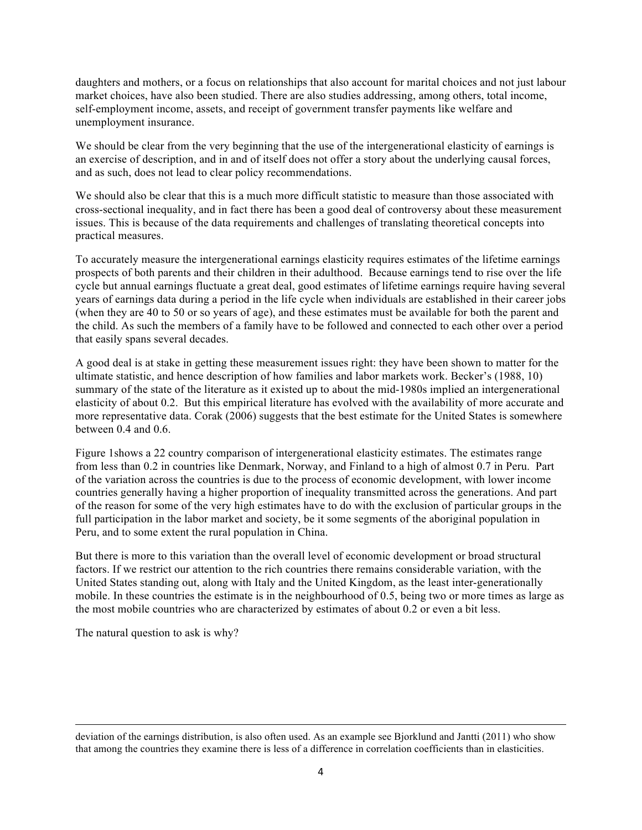daughters and mothers, or a focus on relationships that also account for marital choices and not just labour market choices, have also been studied. There are also studies addressing, among others, total income, self-employment income, assets, and receipt of government transfer payments like welfare and unemployment insurance.

We should be clear from the very beginning that the use of the intergenerational elasticity of earnings is an exercise of description, and in and of itself does not offer a story about the underlying causal forces, and as such, does not lead to clear policy recommendations.

We should also be clear that this is a much more difficult statistic to measure than those associated with cross-sectional inequality, and in fact there has been a good deal of controversy about these measurement issues. This is because of the data requirements and challenges of translating theoretical concepts into practical measures.

To accurately measure the intergenerational earnings elasticity requires estimates of the lifetime earnings prospects of both parents and their children in their adulthood. Because earnings tend to rise over the life cycle but annual earnings fluctuate a great deal, good estimates of lifetime earnings require having several years of earnings data during a period in the life cycle when individuals are established in their career jobs (when they are 40 to 50 or so years of age), and these estimates must be available for both the parent and the child. As such the members of a family have to be followed and connected to each other over a period that easily spans several decades.

A good deal is at stake in getting these measurement issues right: they have been shown to matter for the ultimate statistic, and hence description of how families and labor markets work. Becker's (1988, 10) summary of the state of the literature as it existed up to about the mid-1980s implied an intergenerational elasticity of about 0.2. But this empirical literature has evolved with the availability of more accurate and more representative data. Corak (2006) suggests that the best estimate for the United States is somewhere between 0.4 and 0.6.

Figure 1shows a 22 country comparison of intergenerational elasticity estimates. The estimates range from less than 0.2 in countries like Denmark, Norway, and Finland to a high of almost 0.7 in Peru. Part of the variation across the countries is due to the process of economic development, with lower income countries generally having a higher proportion of inequality transmitted across the generations. And part of the reason for some of the very high estimates have to do with the exclusion of particular groups in the full participation in the labor market and society, be it some segments of the aboriginal population in Peru, and to some extent the rural population in China.

But there is more to this variation than the overall level of economic development or broad structural factors. If we restrict our attention to the rich countries there remains considerable variation, with the United States standing out, along with Italy and the United Kingdom, as the least inter-generationally mobile. In these countries the estimate is in the neighbourhood of 0.5, being two or more times as large as the most mobile countries who are characterized by estimates of about 0.2 or even a bit less.

The natural question to ask is why?

<u> 1989 - Andrea Santa Andrea Andrea Andrea Andrea Andrea Andrea Andrea Andrea Andrea Andrea Andrea Andrea Andr</u>

deviation of the earnings distribution, is also often used. As an example see Bjorklund and Jantti (2011) who show that among the countries they examine there is less of a difference in correlation coefficients than in elasticities.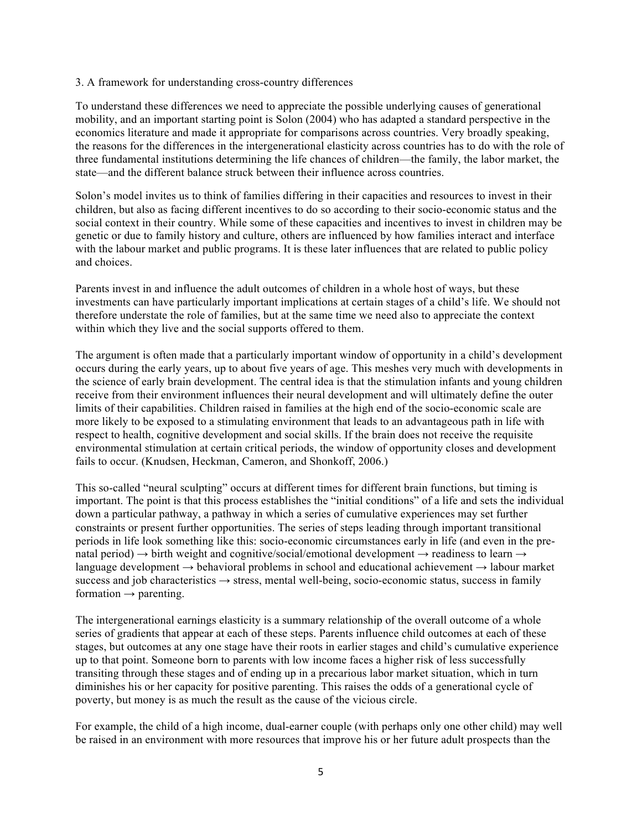#### 3. A framework for understanding cross-country differences

To understand these differences we need to appreciate the possible underlying causes of generational mobility, and an important starting point is Solon (2004) who has adapted a standard perspective in the economics literature and made it appropriate for comparisons across countries. Very broadly speaking, the reasons for the differences in the intergenerational elasticity across countries has to do with the role of three fundamental institutions determining the life chances of children—the family, the labor market, the state—and the different balance struck between their influence across countries.

Solon's model invites us to think of families differing in their capacities and resources to invest in their children, but also as facing different incentives to do so according to their socio-economic status and the social context in their country. While some of these capacities and incentives to invest in children may be genetic or due to family history and culture, others are influenced by how families interact and interface with the labour market and public programs. It is these later influences that are related to public policy and choices.

Parents invest in and influence the adult outcomes of children in a whole host of ways, but these investments can have particularly important implications at certain stages of a child's life. We should not therefore understate the role of families, but at the same time we need also to appreciate the context within which they live and the social supports offered to them.

The argument is often made that a particularly important window of opportunity in a child's development occurs during the early years, up to about five years of age. This meshes very much with developments in the science of early brain development. The central idea is that the stimulation infants and young children receive from their environment influences their neural development and will ultimately define the outer limits of their capabilities. Children raised in families at the high end of the socio-economic scale are more likely to be exposed to a stimulating environment that leads to an advantageous path in life with respect to health, cognitive development and social skills. If the brain does not receive the requisite environmental stimulation at certain critical periods, the window of opportunity closes and development fails to occur. (Knudsen, Heckman, Cameron, and Shonkoff, 2006.)

This so-called "neural sculpting" occurs at different times for different brain functions, but timing is important. The point is that this process establishes the "initial conditions" of a life and sets the individual down a particular pathway, a pathway in which a series of cumulative experiences may set further constraints or present further opportunities. The series of steps leading through important transitional periods in life look something like this: socio-economic circumstances early in life (and even in the prenatal period)  $\rightarrow$  birth weight and cognitive/social/emotional development  $\rightarrow$  readiness to learn  $\rightarrow$ language development  $\rightarrow$  behavioral problems in school and educational achievement  $\rightarrow$  labour market success and job characteristics → stress, mental well-being, socio-economic status, success in family formation  $\rightarrow$  parenting.

The intergenerational earnings elasticity is a summary relationship of the overall outcome of a whole series of gradients that appear at each of these steps. Parents influence child outcomes at each of these stages, but outcomes at any one stage have their roots in earlier stages and child's cumulative experience up to that point. Someone born to parents with low income faces a higher risk of less successfully transiting through these stages and of ending up in a precarious labor market situation, which in turn diminishes his or her capacity for positive parenting. This raises the odds of a generational cycle of poverty, but money is as much the result as the cause of the vicious circle.

For example, the child of a high income, dual-earner couple (with perhaps only one other child) may well be raised in an environment with more resources that improve his or her future adult prospects than the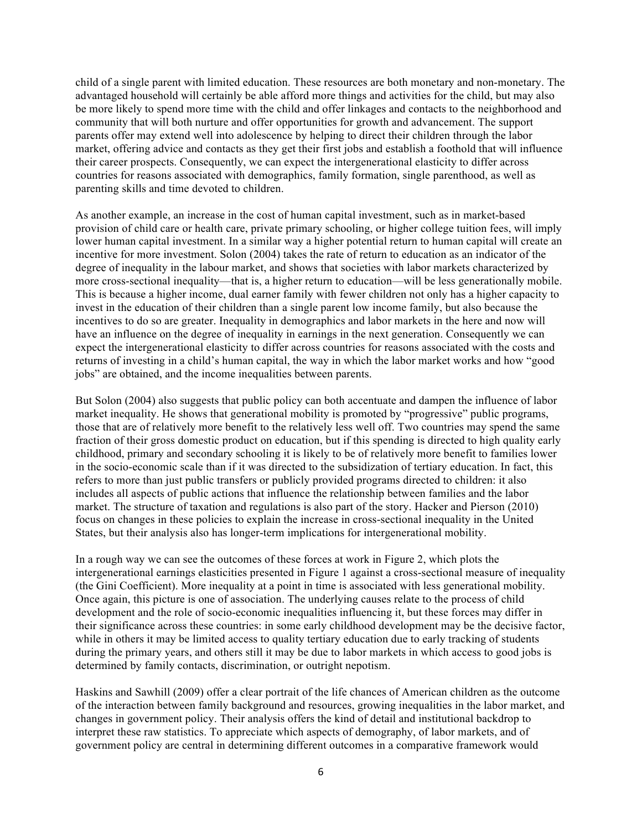child of a single parent with limited education. These resources are both monetary and non-monetary. The advantaged household will certainly be able afford more things and activities for the child, but may also be more likely to spend more time with the child and offer linkages and contacts to the neighborhood and community that will both nurture and offer opportunities for growth and advancement. The support parents offer may extend well into adolescence by helping to direct their children through the labor market, offering advice and contacts as they get their first jobs and establish a foothold that will influence their career prospects. Consequently, we can expect the intergenerational elasticity to differ across countries for reasons associated with demographics, family formation, single parenthood, as well as parenting skills and time devoted to children.

As another example, an increase in the cost of human capital investment, such as in market-based provision of child care or health care, private primary schooling, or higher college tuition fees, will imply lower human capital investment. In a similar way a higher potential return to human capital will create an incentive for more investment. Solon (2004) takes the rate of return to education as an indicator of the degree of inequality in the labour market, and shows that societies with labor markets characterized by more cross-sectional inequality—that is, a higher return to education—will be less generationally mobile. This is because a higher income, dual earner family with fewer children not only has a higher capacity to invest in the education of their children than a single parent low income family, but also because the incentives to do so are greater. Inequality in demographics and labor markets in the here and now will have an influence on the degree of inequality in earnings in the next generation. Consequently we can expect the intergenerational elasticity to differ across countries for reasons associated with the costs and returns of investing in a child's human capital, the way in which the labor market works and how "good jobs" are obtained, and the income inequalities between parents.

But Solon (2004) also suggests that public policy can both accentuate and dampen the influence of labor market inequality. He shows that generational mobility is promoted by "progressive" public programs, those that are of relatively more benefit to the relatively less well off. Two countries may spend the same fraction of their gross domestic product on education, but if this spending is directed to high quality early childhood, primary and secondary schooling it is likely to be of relatively more benefit to families lower in the socio-economic scale than if it was directed to the subsidization of tertiary education. In fact, this refers to more than just public transfers or publicly provided programs directed to children: it also includes all aspects of public actions that influence the relationship between families and the labor market. The structure of taxation and regulations is also part of the story. Hacker and Pierson (2010) focus on changes in these policies to explain the increase in cross-sectional inequality in the United States, but their analysis also has longer-term implications for intergenerational mobility.

In a rough way we can see the outcomes of these forces at work in Figure 2, which plots the intergenerational earnings elasticities presented in Figure 1 against a cross-sectional measure of inequality (the Gini Coefficient). More inequality at a point in time is associated with less generational mobility. Once again, this picture is one of association. The underlying causes relate to the process of child development and the role of socio-economic inequalities influencing it, but these forces may differ in their significance across these countries: in some early childhood development may be the decisive factor, while in others it may be limited access to quality tertiary education due to early tracking of students during the primary years, and others still it may be due to labor markets in which access to good jobs is determined by family contacts, discrimination, or outright nepotism.

Haskins and Sawhill (2009) offer a clear portrait of the life chances of American children as the outcome of the interaction between family background and resources, growing inequalities in the labor market, and changes in government policy. Their analysis offers the kind of detail and institutional backdrop to interpret these raw statistics. To appreciate which aspects of demography, of labor markets, and of government policy are central in determining different outcomes in a comparative framework would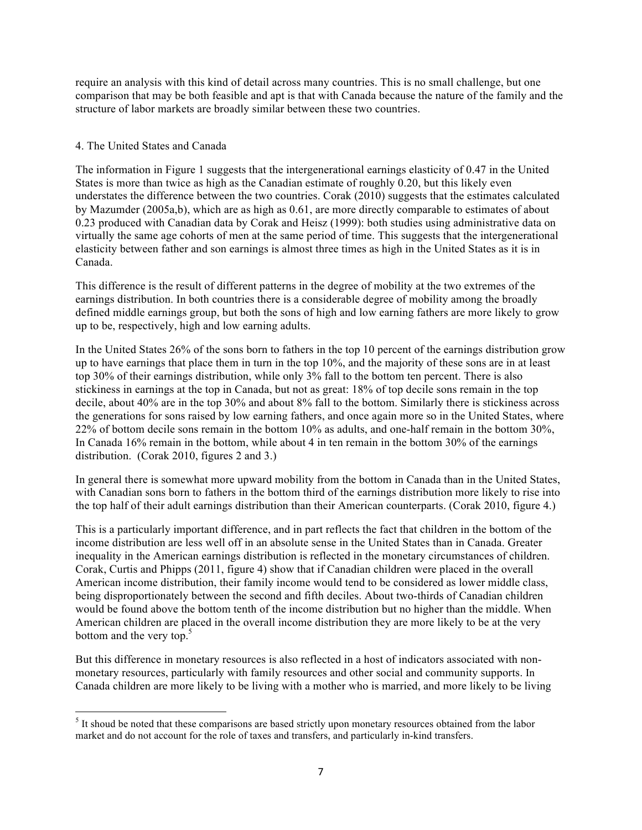require an analysis with this kind of detail across many countries. This is no small challenge, but one comparison that may be both feasible and apt is that with Canada because the nature of the family and the structure of labor markets are broadly similar between these two countries.

#### 4. The United States and Canada

 

The information in Figure 1 suggests that the intergenerational earnings elasticity of 0.47 in the United States is more than twice as high as the Canadian estimate of roughly 0.20, but this likely even understates the difference between the two countries. Corak (2010) suggests that the estimates calculated by Mazumder (2005a,b), which are as high as 0.61, are more directly comparable to estimates of about 0.23 produced with Canadian data by Corak and Heisz (1999): both studies using administrative data on virtually the same age cohorts of men at the same period of time. This suggests that the intergenerational elasticity between father and son earnings is almost three times as high in the United States as it is in Canada.

This difference is the result of different patterns in the degree of mobility at the two extremes of the earnings distribution. In both countries there is a considerable degree of mobility among the broadly defined middle earnings group, but both the sons of high and low earning fathers are more likely to grow up to be, respectively, high and low earning adults.

In the United States 26% of the sons born to fathers in the top 10 percent of the earnings distribution grow up to have earnings that place them in turn in the top 10%, and the majority of these sons are in at least top 30% of their earnings distribution, while only 3% fall to the bottom ten percent. There is also stickiness in earnings at the top in Canada, but not as great: 18% of top decile sons remain in the top decile, about 40% are in the top 30% and about 8% fall to the bottom. Similarly there is stickiness across the generations for sons raised by low earning fathers, and once again more so in the United States, where 22% of bottom decile sons remain in the bottom 10% as adults, and one-half remain in the bottom 30%, In Canada 16% remain in the bottom, while about 4 in ten remain in the bottom 30% of the earnings distribution. (Corak 2010, figures 2 and 3.)

In general there is somewhat more upward mobility from the bottom in Canada than in the United States, with Canadian sons born to fathers in the bottom third of the earnings distribution more likely to rise into the top half of their adult earnings distribution than their American counterparts. (Corak 2010, figure 4.)

This is a particularly important difference, and in part reflects the fact that children in the bottom of the income distribution are less well off in an absolute sense in the United States than in Canada. Greater inequality in the American earnings distribution is reflected in the monetary circumstances of children. Corak, Curtis and Phipps (2011, figure 4) show that if Canadian children were placed in the overall American income distribution, their family income would tend to be considered as lower middle class, being disproportionately between the second and fifth deciles. About two-thirds of Canadian children would be found above the bottom tenth of the income distribution but no higher than the middle. When American children are placed in the overall income distribution they are more likely to be at the very bottom and the very top. $5$ 

But this difference in monetary resources is also reflected in a host of indicators associated with nonmonetary resources, particularly with family resources and other social and community supports. In Canada children are more likely to be living with a mother who is married, and more likely to be living

<sup>&</sup>lt;sup>5</sup> It shoud be noted that these comparisons are based strictly upon monetary resources obtained from the labor market and do not account for the role of taxes and transfers, and particularly in-kind transfers.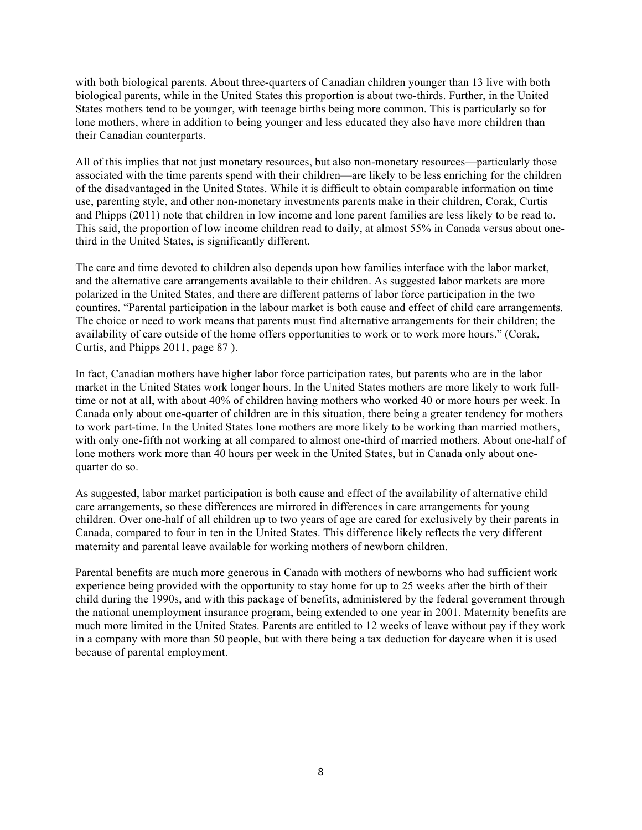with both biological parents. About three-quarters of Canadian children younger than 13 live with both biological parents, while in the United States this proportion is about two-thirds. Further, in the United States mothers tend to be younger, with teenage births being more common. This is particularly so for lone mothers, where in addition to being younger and less educated they also have more children than their Canadian counterparts.

All of this implies that not just monetary resources, but also non-monetary resources—particularly those associated with the time parents spend with their children—are likely to be less enriching for the children of the disadvantaged in the United States. While it is difficult to obtain comparable information on time use, parenting style, and other non-monetary investments parents make in their children, Corak, Curtis and Phipps (2011) note that children in low income and lone parent families are less likely to be read to. This said, the proportion of low income children read to daily, at almost 55% in Canada versus about onethird in the United States, is significantly different.

The care and time devoted to children also depends upon how families interface with the labor market, and the alternative care arrangements available to their children. As suggested labor markets are more polarized in the United States, and there are different patterns of labor force participation in the two countires. "Parental participation in the labour market is both cause and effect of child care arrangements. The choice or need to work means that parents must find alternative arrangements for their children; the availability of care outside of the home offers opportunities to work or to work more hours." (Corak, Curtis, and Phipps 2011, page 87 ).

In fact, Canadian mothers have higher labor force participation rates, but parents who are in the labor market in the United States work longer hours. In the United States mothers are more likely to work fulltime or not at all, with about 40% of children having mothers who worked 40 or more hours per week. In Canada only about one-quarter of children are in this situation, there being a greater tendency for mothers to work part-time. In the United States lone mothers are more likely to be working than married mothers, with only one-fifth not working at all compared to almost one-third of married mothers. About one-half of lone mothers work more than 40 hours per week in the United States, but in Canada only about onequarter do so.

As suggested, labor market participation is both cause and effect of the availability of alternative child care arrangements, so these differences are mirrored in differences in care arrangements for young children. Over one-half of all children up to two years of age are cared for exclusively by their parents in Canada, compared to four in ten in the United States. This difference likely reflects the very different maternity and parental leave available for working mothers of newborn children.

Parental benefits are much more generous in Canada with mothers of newborns who had sufficient work experience being provided with the opportunity to stay home for up to 25 weeks after the birth of their child during the 1990s, and with this package of benefits, administered by the federal government through the national unemployment insurance program, being extended to one year in 2001. Maternity benefits are much more limited in the United States. Parents are entitled to 12 weeks of leave without pay if they work in a company with more than 50 people, but with there being a tax deduction for daycare when it is used because of parental employment.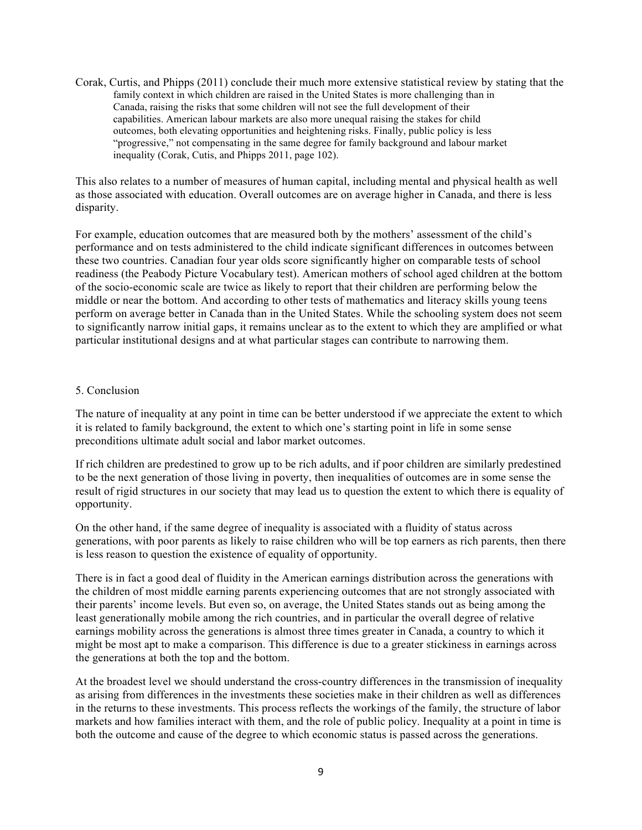Corak, Curtis, and Phipps (2011) conclude their much more extensive statistical review by stating that the family context in which children are raised in the United States is more challenging than in Canada, raising the risks that some children will not see the full development of their capabilities. American labour markets are also more unequal raising the stakes for child outcomes, both elevating opportunities and heightening risks. Finally, public policy is less "progressive," not compensating in the same degree for family background and labour market inequality (Corak, Cutis, and Phipps 2011, page 102).

This also relates to a number of measures of human capital, including mental and physical health as well as those associated with education. Overall outcomes are on average higher in Canada, and there is less disparity.

For example, education outcomes that are measured both by the mothers' assessment of the child's performance and on tests administered to the child indicate significant differences in outcomes between these two countries. Canadian four year olds score significantly higher on comparable tests of school readiness (the Peabody Picture Vocabulary test). American mothers of school aged children at the bottom of the socio-economic scale are twice as likely to report that their children are performing below the middle or near the bottom. And according to other tests of mathematics and literacy skills young teens perform on average better in Canada than in the United States. While the schooling system does not seem to significantly narrow initial gaps, it remains unclear as to the extent to which they are amplified or what particular institutional designs and at what particular stages can contribute to narrowing them.

#### 5. Conclusion

The nature of inequality at any point in time can be better understood if we appreciate the extent to which it is related to family background, the extent to which one's starting point in life in some sense preconditions ultimate adult social and labor market outcomes.

If rich children are predestined to grow up to be rich adults, and if poor children are similarly predestined to be the next generation of those living in poverty, then inequalities of outcomes are in some sense the result of rigid structures in our society that may lead us to question the extent to which there is equality of opportunity.

On the other hand, if the same degree of inequality is associated with a fluidity of status across generations, with poor parents as likely to raise children who will be top earners as rich parents, then there is less reason to question the existence of equality of opportunity.

There is in fact a good deal of fluidity in the American earnings distribution across the generations with the children of most middle earning parents experiencing outcomes that are not strongly associated with their parents' income levels. But even so, on average, the United States stands out as being among the least generationally mobile among the rich countries, and in particular the overall degree of relative earnings mobility across the generations is almost three times greater in Canada, a country to which it might be most apt to make a comparison. This difference is due to a greater stickiness in earnings across the generations at both the top and the bottom.

At the broadest level we should understand the cross-country differences in the transmission of inequality as arising from differences in the investments these societies make in their children as well as differences in the returns to these investments. This process reflects the workings of the family, the structure of labor markets and how families interact with them, and the role of public policy. Inequality at a point in time is both the outcome and cause of the degree to which economic status is passed across the generations.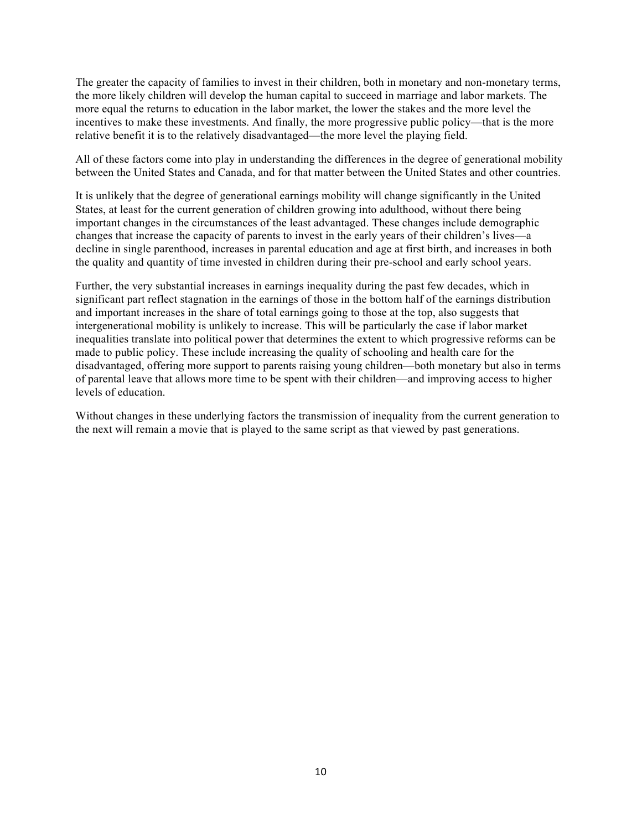The greater the capacity of families to invest in their children, both in monetary and non-monetary terms, the more likely children will develop the human capital to succeed in marriage and labor markets. The more equal the returns to education in the labor market, the lower the stakes and the more level the incentives to make these investments. And finally, the more progressive public policy—that is the more relative benefit it is to the relatively disadvantaged—the more level the playing field.

All of these factors come into play in understanding the differences in the degree of generational mobility between the United States and Canada, and for that matter between the United States and other countries.

It is unlikely that the degree of generational earnings mobility will change significantly in the United States, at least for the current generation of children growing into adulthood, without there being important changes in the circumstances of the least advantaged. These changes include demographic changes that increase the capacity of parents to invest in the early years of their children's lives—a decline in single parenthood, increases in parental education and age at first birth, and increases in both the quality and quantity of time invested in children during their pre-school and early school years.

Further, the very substantial increases in earnings inequality during the past few decades, which in significant part reflect stagnation in the earnings of those in the bottom half of the earnings distribution and important increases in the share of total earnings going to those at the top, also suggests that intergenerational mobility is unlikely to increase. This will be particularly the case if labor market inequalities translate into political power that determines the extent to which progressive reforms can be made to public policy. These include increasing the quality of schooling and health care for the disadvantaged, offering more support to parents raising young children—both monetary but also in terms of parental leave that allows more time to be spent with their children—and improving access to higher levels of education.

Without changes in these underlying factors the transmission of inequality from the current generation to the next will remain a movie that is played to the same script as that viewed by past generations.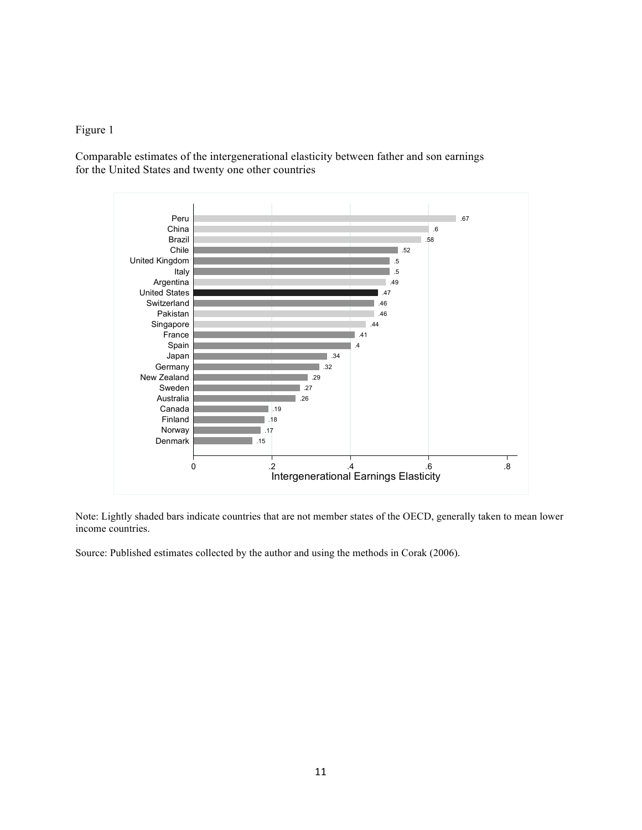#### Figure 1

Comparable estimates of the intergenerational elasticity between father and son earnings for the United States and twenty one other countries



Note: Lightly shaded bars indicate countries that are not member states of the OECD, generally taken to mean lower income countries.

Source: Published estimates collected by the author and using the methods in Corak (2006).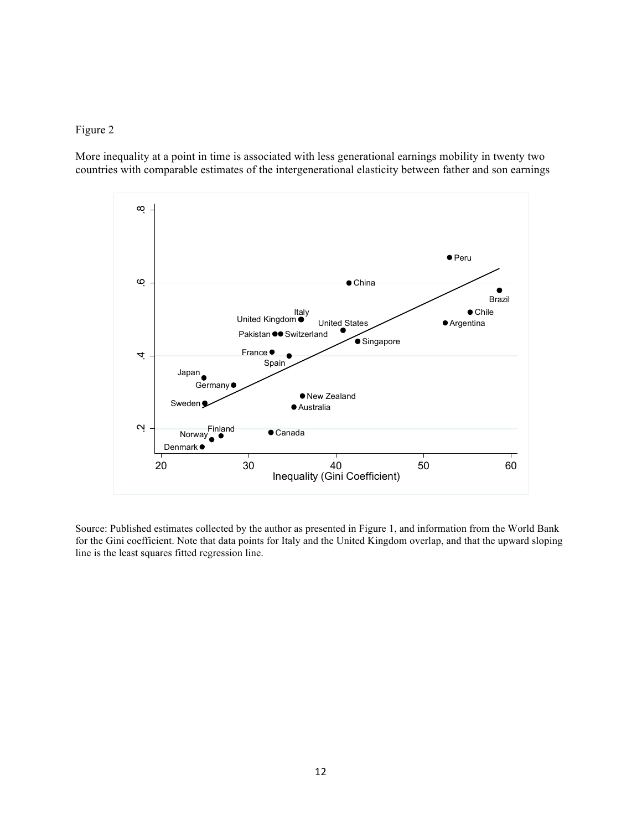#### Figure 2

More inequality at a point in time is associated with less generational earnings mobility in twenty two countries with comparable estimates of the intergenerational elasticity between father and son earnings



Source: Published estimates collected by the author as presented in Figure 1, and information from the World Bank for the Gini coefficient. Note that data points for Italy and the United Kingdom overlap, and that the upward sloping line is the least squares fitted regression line.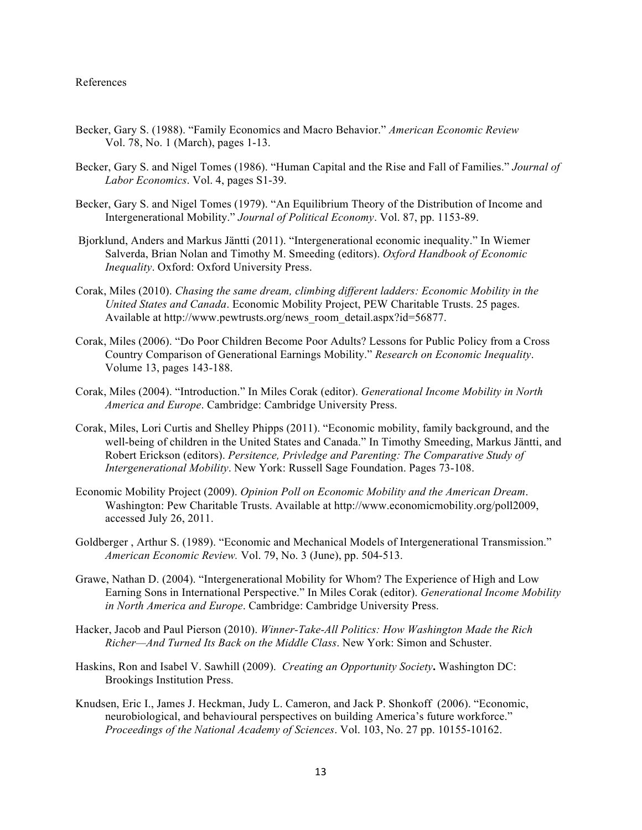#### References

- Becker, Gary S. (1988). "Family Economics and Macro Behavior." *American Economic Review* Vol. 78, No. 1 (March), pages 1-13.
- Becker, Gary S. and Nigel Tomes (1986). "Human Capital and the Rise and Fall of Families." *Journal of Labor Economics*. Vol. 4, pages S1-39.
- Becker, Gary S. and Nigel Tomes (1979). "An Equilibrium Theory of the Distribution of Income and Intergenerational Mobility." *Journal of Political Economy*. Vol. 87, pp. 1153-89.
- Bjorklund, Anders and Markus Jäntti (2011). "Intergenerational economic inequality." In Wiemer Salverda, Brian Nolan and Timothy M. Smeeding (editors). *Oxford Handbook of Economic Inequality*. Oxford: Oxford University Press.
- Corak, Miles (2010). *Chasing the same dream, climbing different ladders: Economic Mobility in the United States and Canada*. Economic Mobility Project, PEW Charitable Trusts. 25 pages. Available at http://www.pewtrusts.org/news\_room\_detail.aspx?id=56877.
- Corak, Miles (2006). "Do Poor Children Become Poor Adults? Lessons for Public Policy from a Cross Country Comparison of Generational Earnings Mobility." *Research on Economic Inequality*. Volume 13, pages 143-188.
- Corak, Miles (2004). "Introduction." In Miles Corak (editor). *Generational Income Mobility in North America and Europe*. Cambridge: Cambridge University Press.
- Corak, Miles, Lori Curtis and Shelley Phipps (2011). "Economic mobility, family background, and the well-being of children in the United States and Canada." In Timothy Smeeding, Markus Jäntti, and Robert Erickson (editors). *Persitence, Privledge and Parenting: The Comparative Study of Intergenerational Mobility*. New York: Russell Sage Foundation. Pages 73-108.
- Economic Mobility Project (2009). *Opinion Poll on Economic Mobility and the American Dream*. Washington: Pew Charitable Trusts. Available at http://www.economicmobility.org/poll2009, accessed July 26, 2011.
- Goldberger , Arthur S. (1989). "Economic and Mechanical Models of Intergenerational Transmission." *American Economic Review.* Vol. 79, No. 3 (June), pp. 504-513.
- Grawe, Nathan D. (2004). "Intergenerational Mobility for Whom? The Experience of High and Low Earning Sons in International Perspective." In Miles Corak (editor). *Generational Income Mobility in North America and Europe*. Cambridge: Cambridge University Press.
- Hacker, Jacob and Paul Pierson (2010). *Winner-Take-All Politics: How Washington Made the Rich Richer—And Turned Its Back on the Middle Class*. New York: Simon and Schuster.
- Haskins, Ron and Isabel V. Sawhill (2009). *Creating an Opportunity Society***.** Washington DC: Brookings Institution Press.
- Knudsen, Eric I., James J. Heckman, Judy L. Cameron, and Jack P. Shonkoff (2006). "Economic, neurobiological, and behavioural perspectives on building America's future workforce." *Proceedings of the National Academy of Sciences*. Vol. 103, No. 27 pp. 10155-10162.